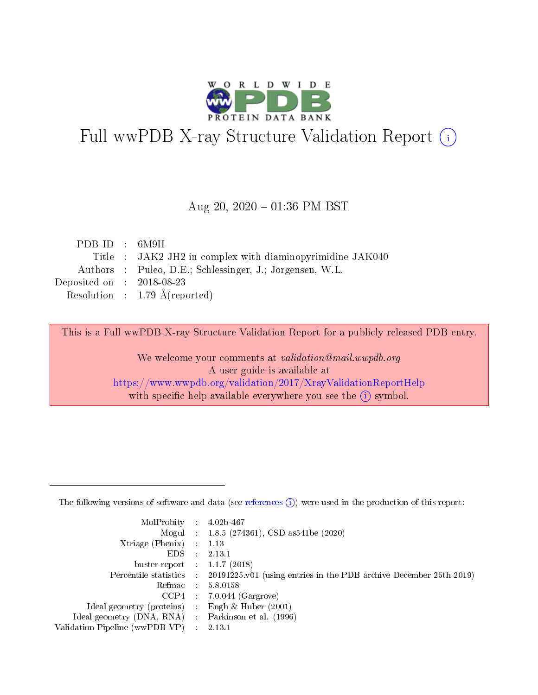

# Full wwPDB X-ray Structure Validation Report (i)

#### Aug 20,  $2020 - 01:36$  PM BST

| PDBID : 6M9H                                              |
|-----------------------------------------------------------|
| Title : JAK2 JH2 in complex with diaminopyrimidine JAK040 |
| Authors : Puleo, D.E.; Schlessinger, J.; Jorgensen, W.L.  |
| Deposited on : $2018-08-23$                               |
| Resolution : 1.79 $\AA$ (reported)                        |
|                                                           |

This is a Full wwPDB X-ray Structure Validation Report for a publicly released PDB entry.

We welcome your comments at validation@mail.wwpdb.org A user guide is available at <https://www.wwpdb.org/validation/2017/XrayValidationReportHelp> with specific help available everywhere you see the  $(i)$  symbol.

The following versions of software and data (see [references](https://www.wwpdb.org/validation/2017/XrayValidationReportHelp#references)  $(1)$ ) were used in the production of this report:

| MolProbity                     | -11        | $4.02b - 467$                                                      |
|--------------------------------|------------|--------------------------------------------------------------------|
|                                |            | Mogul : $1.8.5$ (274361), CSD as 541be (2020)                      |
| Xtriage (Phenix)               |            | 1.13                                                               |
| EDS.                           |            | 2.13.1                                                             |
| buster-report : $1.1.7$ (2018) |            |                                                                    |
| Percentile statistics :        |            | 20191225.v01 (using entries in the PDB archive December 25th 2019) |
| Refmac                         | $\sim 100$ | 5.8.0158                                                           |
| CCP4                           |            | $7.0.044$ (Gargrove)                                               |
| Ideal geometry (proteins) :    |            | Engh $\&$ Huber (2001)                                             |
| Ideal geometry (DNA, RNA) :    |            | Parkinson et al. (1996)                                            |
| Validation Pipeline (wwPDB-VP) |            | 2.13.1                                                             |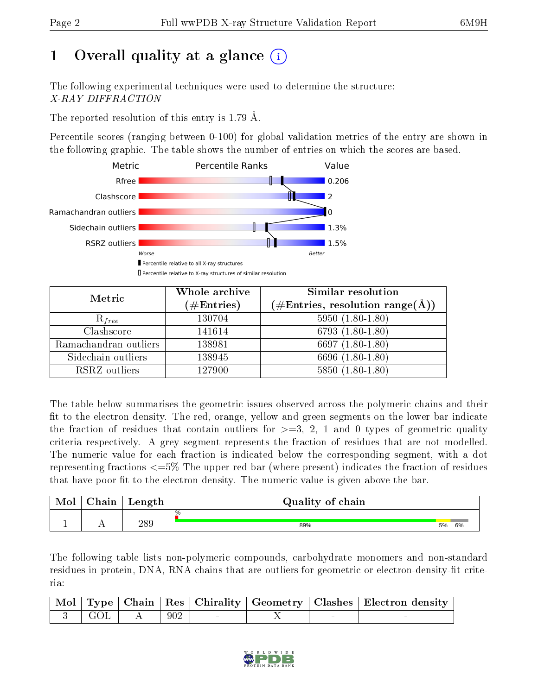# 1 [O](https://www.wwpdb.org/validation/2017/XrayValidationReportHelp#overall_quality)verall quality at a glance  $(i)$

The following experimental techniques were used to determine the structure: X-RAY DIFFRACTION

The reported resolution of this entry is 1.79 Å.

Percentile scores (ranging between 0-100) for global validation metrics of the entry are shown in the following graphic. The table shows the number of entries on which the scores are based.



| Metric                | Whole archive<br>$(\#\text{Entries})$ | Similar resolution<br>$(\#\text{Entries}, \text{resolution range}(\text{\AA}))$ |
|-----------------------|---------------------------------------|---------------------------------------------------------------------------------|
| $R_{free}$            | 130704                                | $5950(1.80-1.80)$                                                               |
| Clashscore            | 141614                                | $6793(1.80-1.80)$                                                               |
| Ramachandran outliers | 138981                                | 6697 $(1.80-1.80)$                                                              |
| Sidechain outliers    | 138945                                | 6696 (1.80-1.80)                                                                |
| RSRZ outliers         | 127900                                | $5850(1.80-1.80)$                                                               |

The table below summarises the geometric issues observed across the polymeric chains and their fit to the electron density. The red, orange, yellow and green segments on the lower bar indicate the fraction of residues that contain outliers for  $>=3, 2, 1$  and 0 types of geometric quality criteria respectively. A grey segment represents the fraction of residues that are not modelled. The numeric value for each fraction is indicated below the corresponding segment, with a dot representing fractions <=5% The upper red bar (where present) indicates the fraction of residues that have poor fit to the electron density. The numeric value is given above the bar.

| Mol | ${\bf Chain}$ | Length | Quality of chain |    |    |
|-----|---------------|--------|------------------|----|----|
|     |               |        | $\frac{0}{0}$    |    |    |
|     |               | 289    | 89%              | 5% | 6% |

The following table lists non-polymeric compounds, carbohydrate monomers and non-standard residues in protein, DNA, RNA chains that are outliers for geometric or electron-density-fit criteria:

|                                                                    |     |                                   |  | Mol   Type   Chain   Res   Chirality   Geometry   Clashes   Electron density |
|--------------------------------------------------------------------|-----|-----------------------------------|--|------------------------------------------------------------------------------|
| $\begin{array}{ c c c c c c } \hline 3 & \text{GOL} & \end{array}$ | 902 | <b>Contract Contract Contract</b> |  |                                                                              |

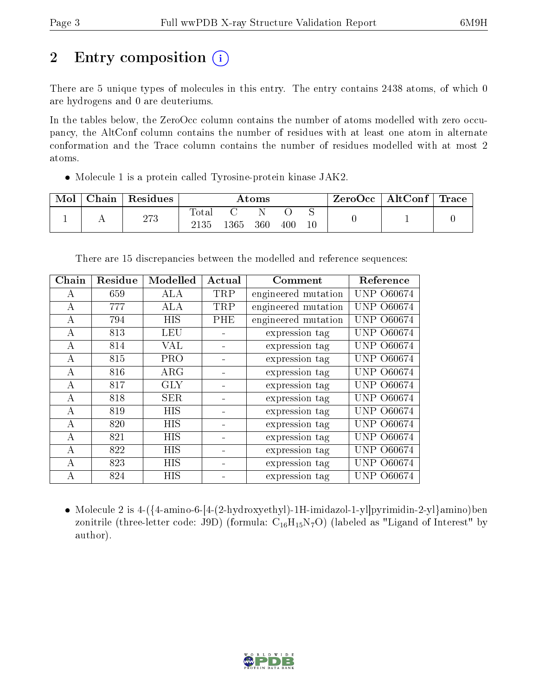# 2 Entry composition  $\left( \cdot \right)$

There are 5 unique types of molecules in this entry. The entry contains 2438 atoms, of which 0 are hydrogens and 0 are deuteriums.

In the tables below, the ZeroOcc column contains the number of atoms modelled with zero occupancy, the AltConf column contains the number of residues with at least one atom in alternate conformation and the Trace column contains the number of residues modelled with at most 2 atoms.

Molecule 1 is a protein called Tyrosine-protein kinase JAK2.

| Mol | $\cap$ hain | Residues | Atoms         |      |     |     | ZeroOcc     | $\vert$ AltConf $\vert$ | Trace |  |
|-----|-------------|----------|---------------|------|-----|-----|-------------|-------------------------|-------|--|
|     |             | 273      | Totar<br>2135 | 1365 | 360 | 400 | ◡<br>$10\,$ |                         |       |  |

| Chain    | Residue | Modelled   | Actual | Comment             | Reference         |
|----------|---------|------------|--------|---------------------|-------------------|
| А        | 659     | <b>ALA</b> | TRP    | engineered mutation | <b>UNP 060674</b> |
| A        | 777     | ALA        | TRP    | engineered mutation | <b>UNP 060674</b> |
| A        | 794     | <b>HIS</b> | PHE    | engineered mutation | <b>UNP 060674</b> |
| A        | 813     | <b>LEU</b> |        | expression tag      | <b>UNP 060674</b> |
| $\bf{A}$ | 814     | <b>VAL</b> |        | expression tag      | <b>UNP 060674</b> |
| А        | 815     | <b>PRO</b> |        | expression tag      | UNP 060674        |
| А        | 816     | $\rm{ARG}$ |        | expression tag      | <b>UNP 060674</b> |
| A        | 817     | <b>GLY</b> |        | expression tag      | UNP  <br>O60674   |
| $\bf{A}$ | 818     | <b>SER</b> |        | expression tag      | <b>UNP 060674</b> |
| А        | 819     | <b>HIS</b> |        | expression tag      | <b>UNP 060674</b> |
| $\bf{A}$ | 820     | HIS        |        | expression tag      | <b>UNP 060674</b> |
| $\bf{A}$ | 821     | <b>HIS</b> |        | expression tag      | UNP -<br>O60674   |
| А        | 822     | HIS        |        | expression tag      | <b>UNP 060674</b> |
| А        | 823     | HIS        |        | expression tag      | UNP<br>O60674     |
| А        | 824     | HIS        |        | expression tag      | <b>UNP 060674</b> |

There are 15 discrepancies between the modelled and reference sequences:

 Molecule 2 is 4-({4-amino-6-[4-(2-hydroxyethyl)-1H-imidazol-1-yl]pyrimidin-2-yl}amino)ben zonitrile (three-letter code: J9D) (formula:  $C_{16}H_{15}N_7O$ ) (labeled as "Ligand of Interest" by author).

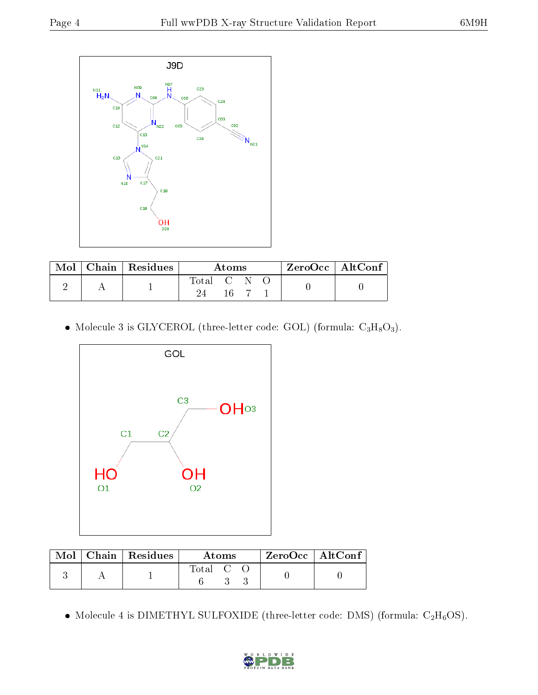

|  | $\text{Mol}$   Chain   Residues | Atoms   |  |  | $ZeroOcc$   AltConf |  |
|--|---------------------------------|---------|--|--|---------------------|--|
|  |                                 | Total C |  |  |                     |  |
|  |                                 |         |  |  |                     |  |

• Molecule 3 is GLYCEROL (three-letter code: GOL) (formula:  $C_3H_8O_3$ ).



|  | $\text{Mol}$   Chain   Residues | <b>Atoms</b>                      |  |  | $\rm ZeroOcc$   $\rm AltConf$ |  |
|--|---------------------------------|-----------------------------------|--|--|-------------------------------|--|
|  |                                 | $\mathrm{Total} \quad \mathrm{C}$ |  |  |                               |  |

• Molecule 4 is DIMETHYL SULFOXIDE (three-letter code: DMS) (formula:  $C_2H_6OS$ ).

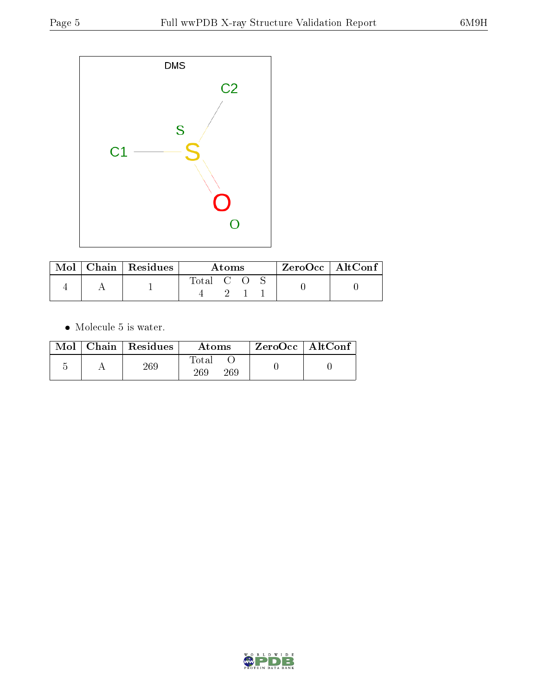

| Mol | $\mid$ Chain $\mid$ Residues | Atoms     |  |  | $\rm ZeroOcc$   Alt $\rm Conf$ |  |
|-----|------------------------------|-----------|--|--|--------------------------------|--|
|     |                              | Total C O |  |  |                                |  |

 $\bullet\,$  Molecule 5 is water.

|  | $Mol$   Chain   Residues | Atoms               | $ZeroOcc \mid AltConf$ |  |
|--|--------------------------|---------------------|------------------------|--|
|  | 269                      | Total<br>269<br>269 |                        |  |

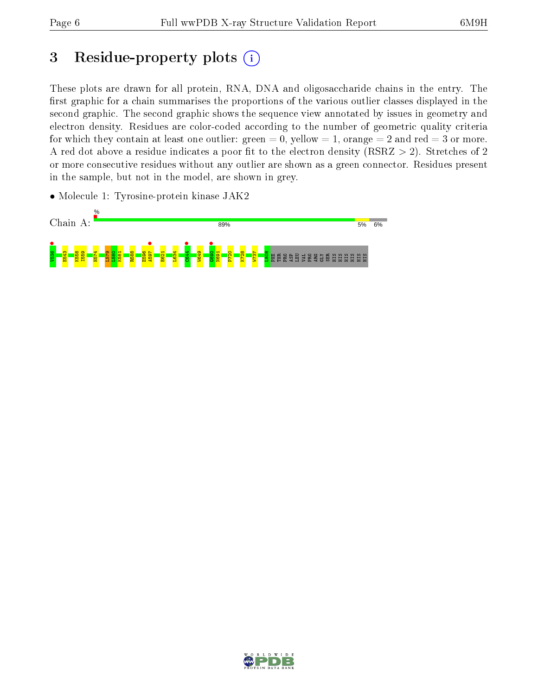## 3 Residue-property plots  $(i)$

These plots are drawn for all protein, RNA, DNA and oligosaccharide chains in the entry. The first graphic for a chain summarises the proportions of the various outlier classes displayed in the second graphic. The second graphic shows the sequence view annotated by issues in geometry and electron density. Residues are color-coded according to the number of geometric quality criteria for which they contain at least one outlier: green  $= 0$ , yellow  $= 1$ , orange  $= 2$  and red  $= 3$  or more. A red dot above a residue indicates a poor fit to the electron density ( $RSRZ > 2$ ). Stretches of 2 or more consecutive residues without any outlier are shown as a green connector. Residues present in the sample, but not in the model, are shown in grey.

• Molecule 1: Tyrosine-protein kinase JAK2



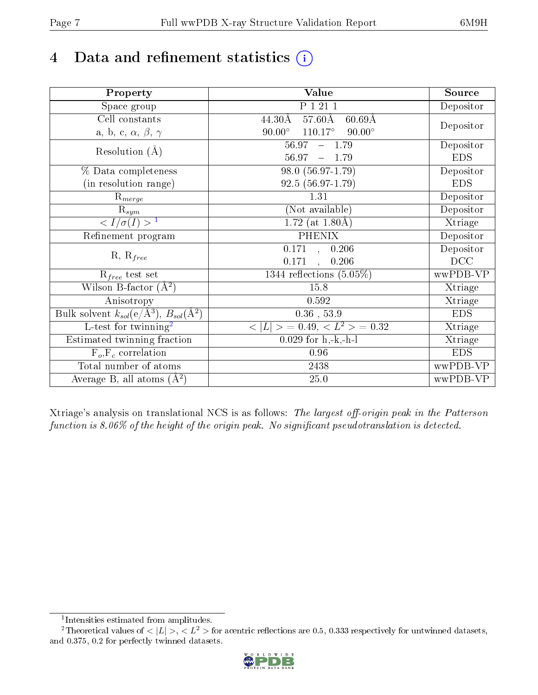# 4 Data and refinement statistics  $(i)$

| Property                                                             | Value                                                       | Source     |
|----------------------------------------------------------------------|-------------------------------------------------------------|------------|
| $\overline{S}$ pace group                                            | P 1 21 1                                                    | Depositor  |
| Cell constants                                                       | $57.60\text{\AA}$<br>$44.30\text{\AA}$<br>$60.69\text{\AA}$ |            |
| a, b, c, $\alpha$ , $\beta$ , $\gamma$                               | $90.00^\circ$<br>$110.17^\circ$<br>$90.00^\circ$            | Depositor  |
| Resolution $(A)$                                                     | 56.97<br>$-1.79$                                            | Depositor  |
|                                                                      | 56.97<br>$-1.79$                                            | <b>EDS</b> |
| % Data completeness                                                  | 98.0 (56.97-1.79)                                           | Depositor  |
| (in resolution range)                                                | 92.5 (56.97-1.79)                                           | <b>EDS</b> |
| $R_{merge}$                                                          | 1.31                                                        | Depositor  |
| $\mathrm{R}_{sym}$                                                   | (Not available)                                             | Depositor  |
| $\langle I/\sigma(I) \rangle$ <sup>1</sup>                           | 1.72 (at $1.80\text{\AA}$ )                                 | Xtriage    |
| Refinement program                                                   | <b>PHENIX</b>                                               | Depositor  |
|                                                                      | $\overline{0.171}$ ,<br>0.206                               | Depositor  |
| $R, R_{free}$                                                        | 0.171<br>0.206<br>$\ddot{\phantom{a}}$                      | DCC        |
| $\mathcal{R}_{free}$ test set                                        | 1344 reflections $(5.05\%)$                                 | wwPDB-VP   |
| Wilson B-factor $(A^2)$                                              | 15.8                                                        | Xtriage    |
| Anisotropy                                                           | 0.592                                                       | Xtriage    |
| Bulk solvent $k_{sol}(e/\mathring{A}^3)$ , $B_{sol}(\mathring{A}^2)$ | $0.36$ , 53.9                                               | <b>EDS</b> |
| L-test for twinning <sup>2</sup>                                     | $< L >$ = 0.49, $< L2$ = 0.32                               | Xtriage    |
| Estimated twinning fraction                                          | $0.029$ for $h,-k,-h-l$                                     | Xtriage    |
| $F_o, F_c$ correlation                                               | 0.96                                                        | <b>EDS</b> |
| Total number of atoms                                                | 2438                                                        | wwPDB-VP   |
| Average B, all atoms $(A^2)$                                         | $25.0\,$                                                    | wwPDB-VP   |

Xtriage's analysis on translational NCS is as follows: The largest off-origin peak in the Patterson function is  $8.06\%$  of the height of the origin peak. No significant pseudotranslation is detected.

<sup>&</sup>lt;sup>2</sup>Theoretical values of  $\langle |L| \rangle$ ,  $\langle L^2 \rangle$  for acentric reflections are 0.5, 0.333 respectively for untwinned datasets, and 0.375, 0.2 for perfectly twinned datasets.



<span id="page-6-1"></span><span id="page-6-0"></span><sup>1</sup> Intensities estimated from amplitudes.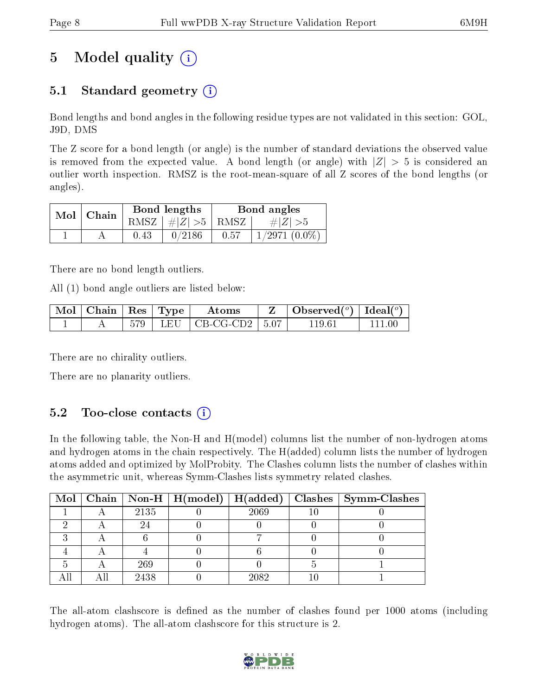# 5 Model quality  $(i)$

### 5.1 Standard geometry (i)

Bond lengths and bond angles in the following residue types are not validated in this section: GOL, J9D, DMS

The Z score for a bond length (or angle) is the number of standard deviations the observed value is removed from the expected value. A bond length (or angle) with  $|Z| > 5$  is considered an outlier worth inspection. RMSZ is the root-mean-square of all Z scores of the bond lengths (or angles).

| $Mol$   Chain |      | Bond lengths                        | Bond angles |                 |  |
|---------------|------|-------------------------------------|-------------|-----------------|--|
|               |      | RMSZ $\mid \#Z \mid >5$ RMSZ $\mid$ |             | $\# Z  > 5$     |  |
|               | 0.43 | 0/2186                              | 0.57        | $1/2971(0.0\%)$ |  |

There are no bond length outliers.

All (1) bond angle outliers are listed below:

| Mol   Chain   $Res$   Type |     |     | Atoms         |         | Observed( $^{\circ}$ )   Ideal( $^{\circ}$ ) |  |
|----------------------------|-----|-----|---------------|---------|----------------------------------------------|--|
|                            | 579 | LEU | J   CB-CG-CD2 | $+5.07$ | 119.61                                       |  |

There are no chirality outliers.

There are no planarity outliers.

#### $5.2$  Too-close contacts  $(i)$

In the following table, the Non-H and H(model) columns list the number of non-hydrogen atoms and hydrogen atoms in the chain respectively. The H(added) column lists the number of hydrogen atoms added and optimized by MolProbity. The Clashes column lists the number of clashes within the asymmetric unit, whereas Symm-Clashes lists symmetry related clashes.

|  |      |      | Mol   Chain   Non-H   H(model)   H(added)   Clashes   Symm-Clashes |
|--|------|------|--------------------------------------------------------------------|
|  | 2135 | 2069 |                                                                    |
|  |      |      |                                                                    |
|  |      |      |                                                                    |
|  |      |      |                                                                    |
|  | 269  |      |                                                                    |
|  | 2438 | 2082 |                                                                    |

The all-atom clashscore is defined as the number of clashes found per 1000 atoms (including hydrogen atoms). The all-atom clashscore for this structure is 2.

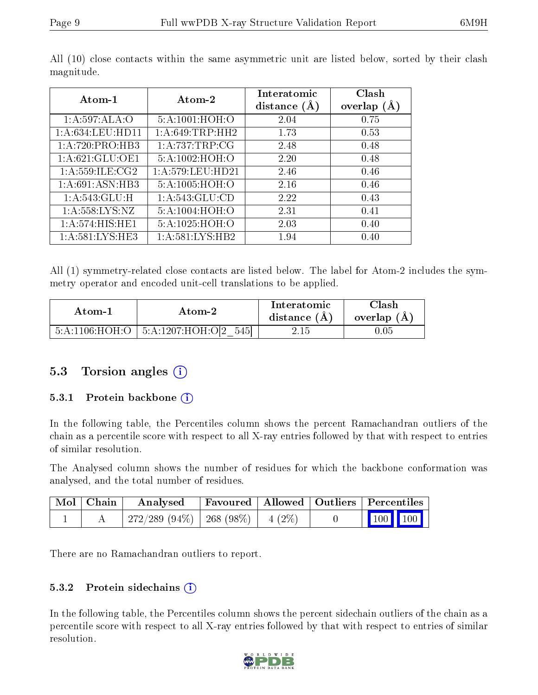| Atom-1                     | Atom-2                        | Interatomic    | Clash         |
|----------------------------|-------------------------------|----------------|---------------|
|                            |                               | distance $(A)$ | overlap $(A)$ |
| 1:A:597:ALA:O              | 5:A:1001:HOH:O                | 2.04           | 0.75          |
| 1: A:634:LEU:HD11          | 1: A:649:TRP:HH2              | 1.73           | 0.53          |
| 1:A:720:PRO:HB3            | 1: A:737:TRP:CG               | 2.48           | 0.48          |
| 1: A:621: GLU:OE1          | 5:A:1002:HOH:O                | 2.20           | 0.48          |
| 1: A:559: ILE: CG2         | 1:A:579:LEU:HD21              | 2.46           | 0.46          |
| 1: A:691: ASN:HB3          | 5:A:1005:HOH:O                | 2.16           | 0.46          |
| $1:A:543:\overline{GLU:H}$ | $1: A:543: \overline{GLU:CD}$ | 2.22           | 0.43          |
| 1: A: 558: LYS: NZ         | 5:A:1004:HOH:O                | 2.31           | 0.41          |
| 1: A:574: HIS: HE1         | 5:A:1025:HOH:O                | 2.03           | 0.40          |
| 1: A:581:LYS:HE3           | 1:A:581:LYS:HB2               | 1.94           | 0.40          |

All (10) close contacts within the same asymmetric unit are listed below, sorted by their clash magnitude.

All (1) symmetry-related close contacts are listed below. The label for Atom-2 includes the symmetry operator and encoded unit-cell translations to be applied.

| Atom-1         | Atom-2            | <b>Interatomic</b><br>distance (A) | Clash<br>overlap (A) |
|----------------|-------------------|------------------------------------|----------------------|
| 5:A:1106:HOH:O | 5:A:1207:HOH:O[2] |                                    | LU5                  |

#### 5.3 Torsion angles  $(i)$

#### 5.3.1 Protein backbone  $(i)$

In the following table, the Percentiles column shows the percent Ramachandran outliers of the chain as a percentile score with respect to all X-ray entries followed by that with respect to entries of similar resolution.

The Analysed column shows the number of residues for which the backbone conformation was analysed, and the total number of residues.

| Mol   Chain | Analysed                                |  | Favoured   Allowed   Outliers   Percentiles                                         |  |
|-------------|-----------------------------------------|--|-------------------------------------------------------------------------------------|--|
|             | $272/289$ (94\%)   268 (98\%)   4 (2\%) |  | $\begin{array}{ c c c c c }\n\hline\n\multicolumn{1}{ c }{100} & 100 & \end{array}$ |  |

There are no Ramachandran outliers to report.

#### 5.3.2 Protein sidechains (i)

In the following table, the Percentiles column shows the percent sidechain outliers of the chain as a percentile score with respect to all X-ray entries followed by that with respect to entries of similar resolution.

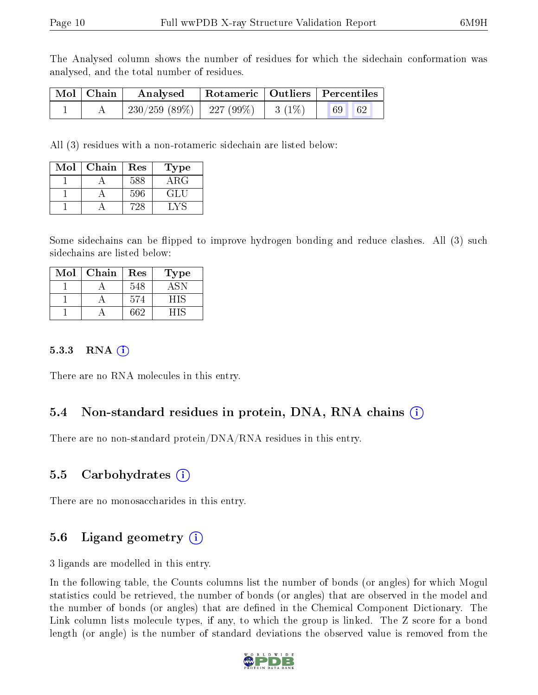The Analysed column shows the number of residues for which the sidechain conformation was analysed, and the total number of residues.

| Mol   Chain | Analysed                                | Rotameric   Outliers   Percentiles |  |  |  |
|-------------|-----------------------------------------|------------------------------------|--|--|--|
|             | $230/259$ (89\%)   227 (99\%)   3 (1\%) |                                    |  |  |  |

All (3) residues with a non-rotameric sidechain are listed below:

| Mol | Chain | Res | Type       |
|-----|-------|-----|------------|
|     |       | 588 | $\rm{ARG}$ |
|     |       | 596 | GL L       |
|     |       |     | . V S      |

Some sidechains can be flipped to improve hydrogen bonding and reduce clashes. All (3) such sidechains are listed below:

| Mol | Chain | Res | Type |
|-----|-------|-----|------|
|     |       | 548 |      |
|     |       | 574 | - 15 |
|     |       | 662 |      |

#### 5.3.3 RNA  $(i)$

There are no RNA molecules in this entry.

#### 5.4 Non-standard residues in protein, DNA, RNA chains (i)

There are no non-standard protein/DNA/RNA residues in this entry.

#### 5.5 Carbohydrates (i)

There are no monosaccharides in this entry.

#### 5.6 Ligand geometry  $(i)$

3 ligands are modelled in this entry.

In the following table, the Counts columns list the number of bonds (or angles) for which Mogul statistics could be retrieved, the number of bonds (or angles) that are observed in the model and the number of bonds (or angles) that are defined in the Chemical Component Dictionary. The Link column lists molecule types, if any, to which the group is linked. The Z score for a bond length (or angle) is the number of standard deviations the observed value is removed from the

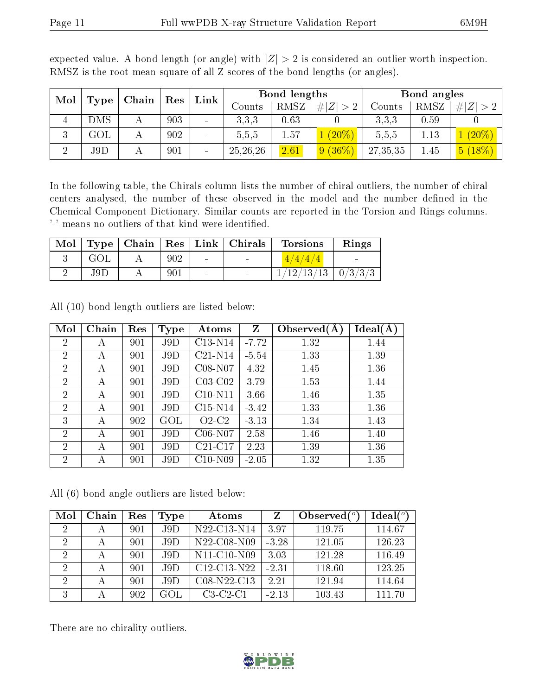| Mol |           |  |     | Chain                    |            |      |             |          |      |           |  |  | Res | Link |  | Bond lengths |  | Bond angles |  |  |
|-----|-----------|--|-----|--------------------------|------------|------|-------------|----------|------|-----------|--|--|-----|------|--|--------------|--|-------------|--|--|
|     | Type      |  |     |                          | Counts     | RMSZ | # $ Z  > 2$ | Counts   | RMSZ | Z         |  |  |     |      |  |              |  |             |  |  |
| 4   | DMS       |  | 903 | $\overline{\phantom{a}}$ | 3,3,3      | 0.63 |             | 3.3.3    | 0.59 |           |  |  |     |      |  |              |  |             |  |  |
| 3   | $\rm GOL$ |  | 902 |                          | 5,5,5      | 1.57 | $(20\%)$    | 5,5,5    | 1.13 | $(20\%)$  |  |  |     |      |  |              |  |             |  |  |
| ച   | J9D       |  | 901 | $\overline{\phantom{a}}$ | 25, 26, 26 | 2.61 | $9(36\%$    | 27,35,35 | 1.45 | $5(18\%)$ |  |  |     |      |  |              |  |             |  |  |

expected value. A bond length (or angle) with  $|Z| > 2$  is considered an outlier worth inspection. RMSZ is the root-mean-square of all Z scores of the bond lengths (or angles).

In the following table, the Chirals column lists the number of chiral outliers, the number of chiral centers analysed, the number of these observed in the model and the number defined in the Chemical Component Dictionary. Similar counts are reported in the Torsion and Rings columns. '-' means no outliers of that kind were identified.

|     |     |        | Mol   Type   Chain   Res   Link   Chirals   Torsions | Rings |
|-----|-----|--------|------------------------------------------------------|-------|
| GOL | 902 | $\sim$ | 4/4/4/4                                              |       |
| J9D | 901 |        | $\frac{1}{12}/\frac{13}{13}$   0/3/3/3               |       |

| Mol            | Chain | Res | Type      | Atoms     | Z       | Observed $(A)$ | Ideal(A) |
|----------------|-------|-----|-----------|-----------|---------|----------------|----------|
| $\overline{2}$ | А     | 901 | J9D       | C13-N14   | $-7.72$ | 1.32           | 1.44     |
| $\overline{2}$ | А     | 901 | J9D       | $C21-N14$ | $-5.54$ | 1.33           | 1.39     |
| $\overline{2}$ | А     | 901 | J9D       | C08-N07   | 4.32    | 1.45           | 1.36     |
| 2              | А     | 901 | J9D       | $C03-C02$ | 3.79    | 1.53           | 1.44     |
| $\overline{2}$ | А     | 901 | J9D       | $C10-N11$ | 3.66    | 1.46           | 1.35     |
| $\overline{2}$ | А     | 901 | J9D       | $C15-N14$ | $-3.42$ | 1.33           | 1.36     |
| 3              | А     | 902 | $\rm GOL$ | $O2-C2$   | $-3.13$ | 1.34           | 1.43     |
| $\overline{2}$ | А     | 901 | J9D       | $C06-N07$ | 2.58    | 1.46           | 1.40     |
| 2              | А     | 901 | J9D       | $C21-C17$ | 2.23    | 1.39           | 1.36     |
| $\overline{2}$ | А     | 901 | J9D       | $C10-N09$ | $-2.05$ | 1.32           | 1.35     |

All (10) bond length outliers are listed below:

All (6) bond angle outliers are listed below:

| Mol            | Chain | Res | Type | Atoms                                             |         | Observed $(°)$ | $Ideal(^o)$ |
|----------------|-------|-----|------|---------------------------------------------------|---------|----------------|-------------|
| $\overline{2}$ |       | 901 | J9D  | N22-C13-N14                                       | 3.97    | 119.75         | 114.67      |
| $\overline{2}$ |       | 901 | J9D  | N22-C08-N09                                       | $-3.28$ | 121.05         | 126.23      |
| $\overline{2}$ |       | 901 | J9D  | $N11-C10-N09$                                     | 3.03    | 121.28         | 116.49      |
| $\overline{2}$ |       | 901 | J9D  | $C12-C13-N22$                                     | $-2.31$ | 118.60         | 123.25      |
| $\overline{2}$ | А     | 901 | J9D  | C <sub>08</sub> -N <sub>22</sub> -C <sub>13</sub> | 2.21    | 121.94         | 114.64      |
| 3              |       | 902 | GOL  | $C3-C2-C1$                                        | $-2.13$ | 103.43         | 111.70      |

There are no chirality outliers.

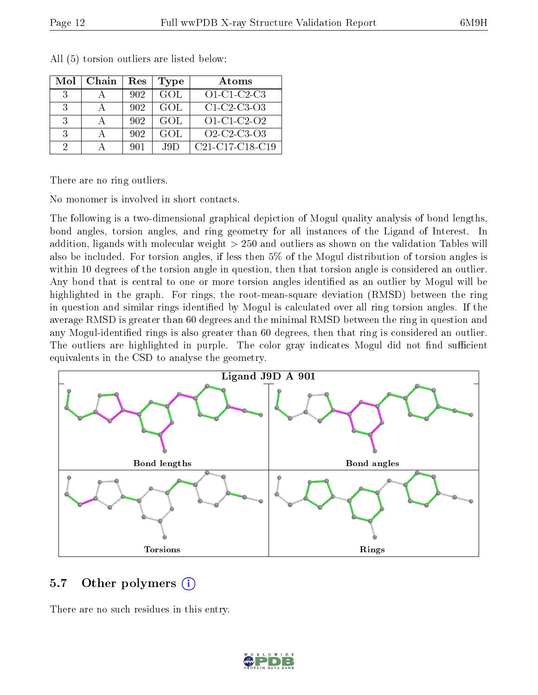| Mol | Chain | Res | Type       | Atoms                                                              |
|-----|-------|-----|------------|--------------------------------------------------------------------|
| -3  |       | 902 | <b>GOL</b> | $O1-C1-C2-C3$                                                      |
| 3   |       | 902 | GOL        | $C1-C2-C3-O3$                                                      |
| 3   |       | 902 | GOL        | $O1-C1-C2-O2$                                                      |
| 3   |       | 902 | <b>GOL</b> | O <sub>2</sub> -C <sub>2</sub> -C <sub>3</sub> -O <sub>3</sub>     |
| 9   |       | 901 | J9D        | C <sub>21</sub> -C <sub>17</sub> -C <sub>18</sub> -C <sub>19</sub> |

All (5) torsion outliers are listed below:

There are no ring outliers.

No monomer is involved in short contacts.

The following is a two-dimensional graphical depiction of Mogul quality analysis of bond lengths, bond angles, torsion angles, and ring geometry for all instances of the Ligand of Interest. In addition, ligands with molecular weight > 250 and outliers as shown on the validation Tables will also be included. For torsion angles, if less then 5% of the Mogul distribution of torsion angles is within 10 degrees of the torsion angle in question, then that torsion angle is considered an outlier. Any bond that is central to one or more torsion angles identified as an outlier by Mogul will be highlighted in the graph. For rings, the root-mean-square deviation (RMSD) between the ring in question and similar rings identified by Mogul is calculated over all ring torsion angles. If the average RMSD is greater than 60 degrees and the minimal RMSD between the ring in question and any Mogul-identied rings is also greater than 60 degrees, then that ring is considered an outlier. The outliers are highlighted in purple. The color gray indicates Mogul did not find sufficient equivalents in the CSD to analyse the geometry.



#### 5.7 [O](https://www.wwpdb.org/validation/2017/XrayValidationReportHelp#nonstandard_residues_and_ligands)ther polymers (i)

There are no such residues in this entry.

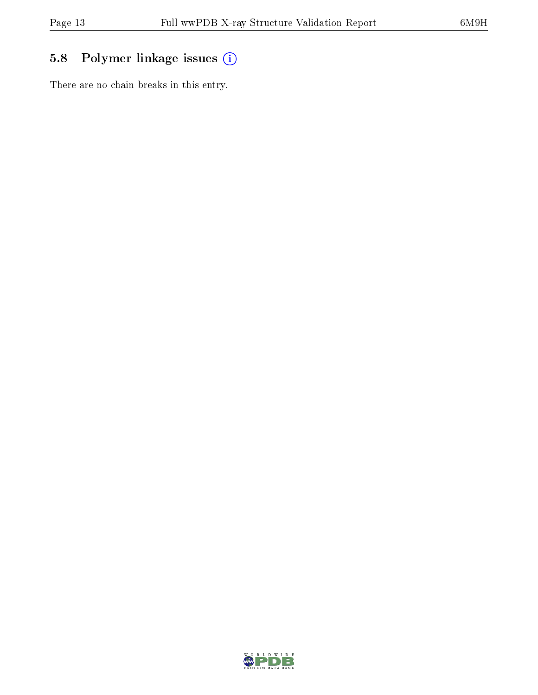### 5.8 Polymer linkage issues (i)

There are no chain breaks in this entry.

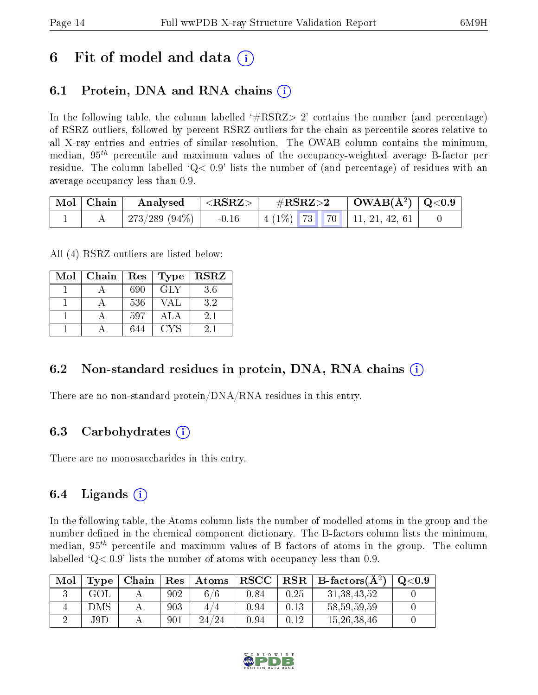### 6 Fit of model and data  $\left( \cdot \right)$

### 6.1 Protein, DNA and RNA chains (i)

In the following table, the column labelled  $#RSRZ>2'$  contains the number (and percentage) of RSRZ outliers, followed by percent RSRZ outliers for the chain as percentile scores relative to all X-ray entries and entries of similar resolution. The OWAB column contains the minimum, median,  $95<sup>th</sup>$  percentile and maximum values of the occupancy-weighted average B-factor per residue. The column labelled  $Q < 0.9$  lists the number of (and percentage) of residues with an average occupancy less than 0.9.

| $\mid$ Mol $\mid$ Chain $\mid$ | $\vert$ Analysed $\vert$ <rsrz> <math>\vert</math></rsrz> |         | $\rm \#RSRZ{>}2$ |  | $\vert$ OWAB(Å <sup>2</sup> ) $\vert$ Q<0.9 $\vert$ |                                    |  |
|--------------------------------|-----------------------------------------------------------|---------|------------------|--|-----------------------------------------------------|------------------------------------|--|
|                                | 273/289 (94%)                                             | $-0.16$ |                  |  |                                                     | $\mid$ 4 (1%) 73 70 11, 21, 42, 61 |  |

All (4) RSRZ outliers are listed below:

| Mol | Chain | Res | <b>Type</b> | $_{\rm RSRZ}$ |
|-----|-------|-----|-------------|---------------|
|     |       | 690 | <b>GLY</b>  | 3.6           |
|     |       | 536 | VAL         | 3.2           |
|     |       | 597 | ALA         | 2.1           |
|     |       | 644 | <b>CYS</b>  | 21            |

#### 6.2 Non-standard residues in protein, DNA, RNA chains  $(i)$

There are no non-standard protein/DNA/RNA residues in this entry.

#### 6.3 Carbohydrates (i)

There are no monosaccharides in this entry.

#### 6.4 Ligands  $(i)$

In the following table, the Atoms column lists the number of modelled atoms in the group and the number defined in the chemical component dictionary. The B-factors column lists the minimum, median,  $95<sup>th</sup>$  percentile and maximum values of B factors of atoms in the group. The column labelled  $Q< 0.9$  lists the number of atoms with occupancy less than 0.9.

| Mol | $_{\rm Type}$ | Chain | $\operatorname{Res}$ | $\mid$ $\bm{\mathrm{Atoms}}$ | $\bf RSCC$ |      | $\mid$ RSR $\mid$ B-factors( $\AA^2$ ) | O < 0.9 |
|-----|---------------|-------|----------------------|------------------------------|------------|------|----------------------------------------|---------|
|     | GOL           |       | 902                  | 6/6                          | 0.84       | 0.25 | 31, 38, 43, 52                         |         |
|     | DMS           |       | 903                  |                              | 0.94       | 0.13 | 58, 59, 59, 59                         |         |
|     | J9D           |       | 901                  | 24/24                        | 0.94       | 0.12 | 15, 26, 38, 46                         |         |